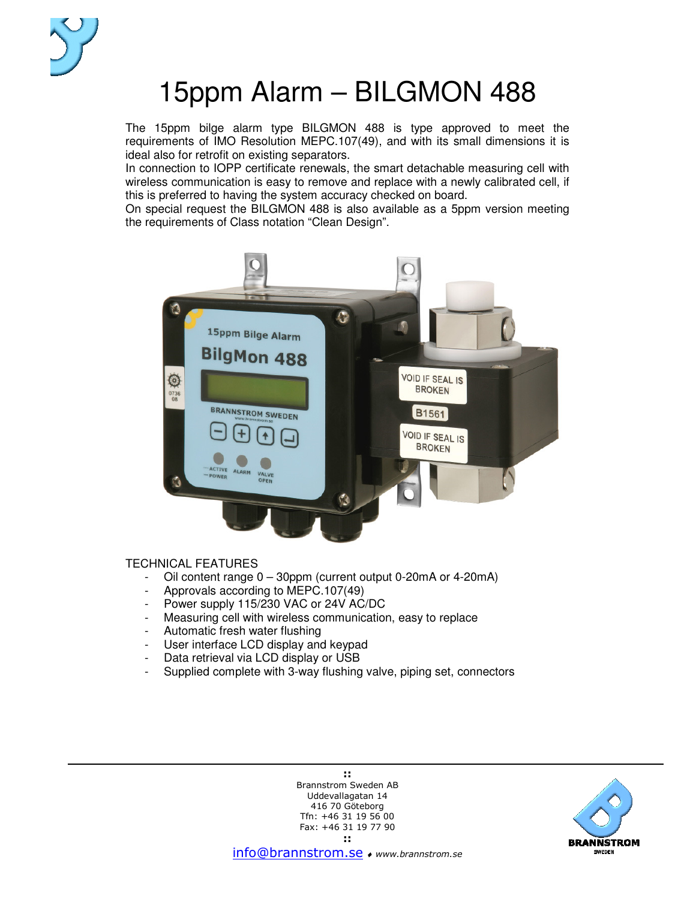

# 15ppm Alarm – BILGMON 488

The 15ppm bilge alarm type BILGMON 488 is type approved to meet the requirements of IMO Resolution MEPC.107(49), and with its small dimensions it is ideal also for retrofit on existing separators.

In connection to IOPP certificate renewals, the smart detachable measuring cell with wireless communication is easy to remove and replace with a newly calibrated cell, if this is preferred to having the system accuracy checked on board.

On special request the BILGMON 488 is also available as a 5ppm version meeting the requirements of Class notation "Clean Design".



#### TECHNICAL FEATURES

- Oil content range 0 30ppm (current output 0-20mA or 4-20mA)
- Approvals according to MEPC.107(49)
- Power supply 115/230 VAC or 24V AC/DC
- Measuring cell with wireless communication, easy to replace
- Automatic fresh water flushing
- User interface LCD display and keypad
- Data retrieval via LCD display or USB
- Supplied complete with 3-way flushing valve, piping set, connectors